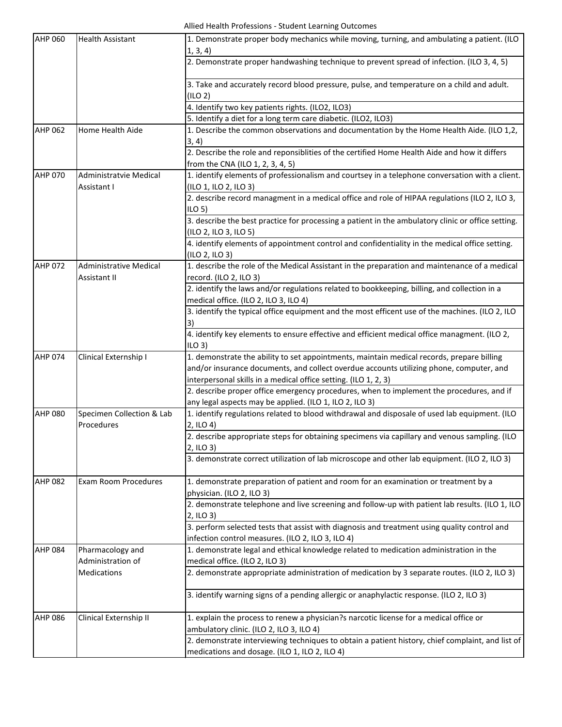## Allied Health Professions - Student Learning Outcomes

| <b>AHP 060</b> | <b>Health Assistant</b>                       | 1. Demonstrate proper body mechanics while moving, turning, and ambulating a patient. (ILO<br>1, 3, 4)                                            |
|----------------|-----------------------------------------------|---------------------------------------------------------------------------------------------------------------------------------------------------|
|                |                                               | 2. Demonstrate proper handwashing technique to prevent spread of infection. (ILO 3, 4, 5)                                                         |
|                |                                               | 3. Take and accurately record blood pressure, pulse, and temperature on a child and adult.<br>(ILO 2)                                             |
|                |                                               | 4. Identify two key patients rights. (ILO2, ILO3)                                                                                                 |
|                |                                               | 5. Identify a diet for a long term care diabetic. (ILO2, ILO3)                                                                                    |
| <b>AHP 062</b> | Home Health Aide                              | 1. Describe the common observations and documentation by the Home Health Aide. (ILO 1,2,                                                          |
|                |                                               | 3, 4)                                                                                                                                             |
|                |                                               | 2. Describe the role and reponsiblities of the certified Home Health Aide and how it differs                                                      |
|                |                                               | from the CNA (ILO 1, 2, 3, 4, 5)                                                                                                                  |
| AHP 070        | Administratvie Medical                        | 1. identify elements of professionalism and courtsey in a telephone conversation with a client.                                                   |
|                | Assistant I                                   | (ILO 1, ILO 2, ILO 3)                                                                                                                             |
|                |                                               | 2. describe record managment in a medical office and role of HIPAA regulations (ILO 2, ILO 3,<br>ILO <sub>5</sub>                                 |
|                |                                               | 3. describe the best practice for processing a patient in the ambulatory clinic or office setting.<br>(ILO 2, ILO 3, ILO 5)                       |
|                |                                               | 4. identify elements of appointment control and confidentiality in the medical office setting.<br>(ILO 2, ILO 3)                                  |
| <b>AHP 072</b> | <b>Administrative Medical</b><br>Assistant II | 1. describe the role of the Medical Assistant in the preparation and maintenance of a medical<br>record. (ILO 2, ILO 3)                           |
|                |                                               | 2. identify the laws and/or regulations related to bookkeeping, billing, and collection in a                                                      |
|                |                                               | medical office. (ILO 2, ILO 3, ILO 4)                                                                                                             |
|                |                                               | 3. identify the typical office equipment and the most efficent use of the machines. (ILO 2, ILO                                                   |
|                |                                               | 3)                                                                                                                                                |
|                |                                               | 4. identify key elements to ensure effective and efficient medical office managment. (ILO 2,<br>$ILO$ 3)                                          |
| <b>AHP 074</b> | Clinical Externship I                         | 1. demonstrate the ability to set appointments, maintain medical records, prepare billing                                                         |
|                |                                               | and/or insurance documents, and collect overdue accounts utilizing phone, computer, and                                                           |
|                |                                               | interpersonal skills in a medical office setting. (ILO 1, 2, 3)                                                                                   |
|                |                                               | 2. describe proper office emergency procedures, when to implement the procedures, and if                                                          |
|                |                                               | any legal aspects may be applied. (ILO 1, ILO 2, ILO 3)                                                                                           |
| <b>AHP 080</b> | Specimen Collection & Lab<br>Procedures       | 1. identify regulations related to blood withdrawal and disposale of used lab equipment. (ILO<br>2, ILO 4)                                        |
|                |                                               | 2. describe appropriate steps for obtaining specimens via capillary and venous sampling. (ILO<br>2, ILO 3)                                        |
|                |                                               | 3. demonstrate correct utilization of lab microscope and other lab equipment. (ILO 2, ILO 3)                                                      |
| <b>AHP 082</b> | <b>Exam Room Procedures</b>                   | 1. demonstrate preparation of patient and room for an examination or treatment by a<br>physician. (ILO 2, ILO 3)                                  |
|                |                                               | 2. demonstrate telephone and live screening and follow-up with patient lab results. (ILO 1, ILO<br>2, ILO 3)                                      |
|                |                                               | 3. perform selected tests that assist with diagnosis and treatment using quality control and                                                      |
|                |                                               | infection control measures. (ILO 2, ILO 3, ILO 4)                                                                                                 |
| <b>AHP 084</b> | Pharmacology and                              | 1. demonstrate legal and ethical knowledge related to medication administration in the                                                            |
|                | Administration of                             | medical office. (ILO 2, ILO 3)                                                                                                                    |
|                | <b>Medications</b>                            | 2. demonstrate appropriate administration of medication by 3 separate routes. (ILO 2, ILO 3)                                                      |
|                |                                               | 3. identify warning signs of a pending allergic or anaphylactic response. (ILO 2, ILO 3)                                                          |
| <b>AHP 086</b> | Clinical Externship II                        | 1. explain the process to renew a physician?s narcotic license for a medical office or<br>ambulatory clinic. (ILO 2, ILO 3, ILO 4)                |
|                |                                               | 2. demonstrate interviewing techniques to obtain a patient history, chief complaint, and list of<br>medications and dosage. (ILO 1, ILO 2, ILO 4) |